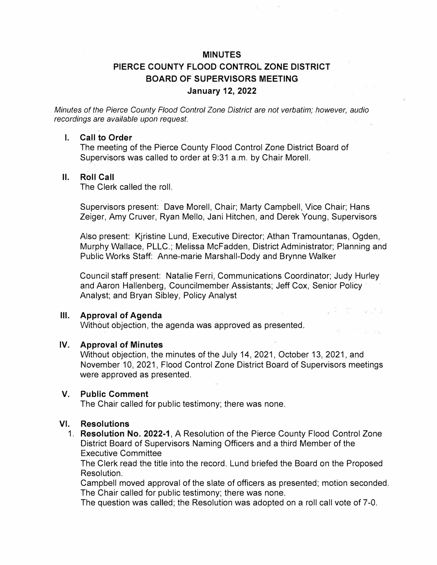# **MINUTES PIERCE COUNTY FLOOD CONTROL ZONE DISTRICT BOARD OF SUPERVISORS MEETING January 12, 2022**

*Minutes of the Pierce County Flood Control Zone District are not verbatim; however, audio recordings are available upon request.* 

#### **I. Call to Order**

The meeting of the Pierce County Flood Control Zone District Board of Supervisors was called to order at 9:31 a.m. by Chair Morell.

#### **II. Roll Call**

The Clerk called the roll.

Supervisors present: Dave Morell, Chair; Marty Campbell, Vice Chair; Hans Zeiger, Amy Gruver, Ryan Mello, Jani Hitchen, and Derek Young, Supervisors

Also present: Kjristine Lund, Executive Director; Athan Tramountanas, Ogden, Murphy Wallace, PLLC.; Melissa McFadden, District Administrator; Planning and Public Works Staff: Anne-marie Marshall-Dody and Brynne Walker

Council staff present: Natalie Ferri, Communications Coordinator; Judy Hurley and Aaron Hallenberg, Councilmember Assistants; Jeff Cox, Senior Policy Analyst; and Bryan Sibley, Policy Analyst

u Politica di S

### **Ill. Approval of Agenda**

Without objection, the agenda was approved as presented.

#### **IV. Approval of Minutes**

Without objection, the minutes of the July 14, 2021, October 13, 2021, and November 10, 2021, Flood Control Zone District Board of Supervisors meetings were approved as presented.

#### **V. Public Comment**

The Chair called for public testimony; there was none.

### **VI. Resolutions**

1. **Resolution No. 2022-1,** A Resolution of the Pierce County Flood Control Zone District Board of Supervisors Naming Officers and a third Member of the Executive Committee

The Clerk read the title into the record. Lund briefed the Board on the Proposed Resolution.

Campbell moved approval of the slate of officers as presented; motion seconded. The Chair called for public testimony; there was none.

The question was called; the Resolution was adopted on a roll call vote of 7-0.